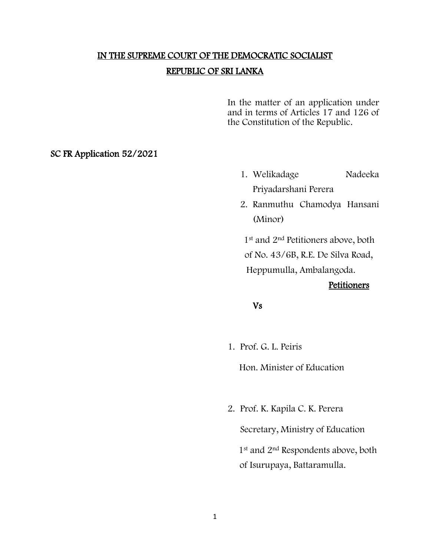# IN THE SUPREME COURT OF THE DEMOCRATIC SOCIALIST REPUBLIC OF SRI LANKA

In the matter of an application under and in terms of Articles 17 and 126 of the Constitution of the Republic.

SC FR Application 52/2021

- 1. Welikadage Nadeeka Priyadarshani Perera
- 2. Ranmuthu Chamodya Hansani (Minor)

1<sup>st</sup> and 2<sup>nd</sup> Petitioners above, both of No. 43/6B, R.E. De Silva Road, Heppumulla, Ambalangoda.

#### **Petitioners**

Vs

1. Prof. G. L. Peiris

Hon. Minister of Education

2. Prof. K. Kapila C. K. Perera

Secretary, Ministry of Education 1<sup>st</sup> and 2<sup>nd</sup> Respondents above, both of Isurupaya, Battaramulla.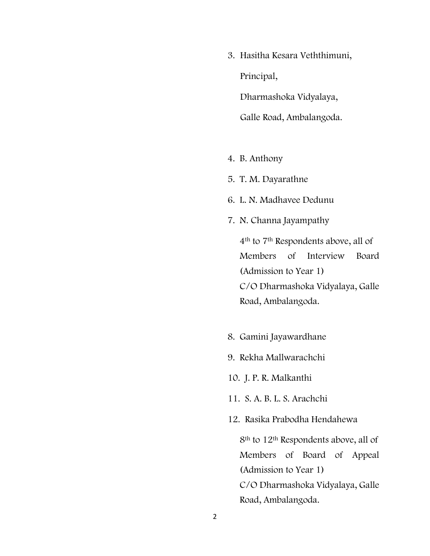3. Hasitha Kesara Veththimuni, Principal, Dharmashoka Vidyalaya,

Galle Road, Ambalangoda.

- 4. B. Anthony
- 5. T. M. Dayarathne
- 6. L. N. Madhavee Dedunu
- 7. N. Channa Jayampathy

4th to 7th Respondents above, all of Members of Interview Board (Admission to Year 1) C/O Dharmashoka Vidyalaya, Galle Road, Ambalangoda.

- 8. Gamini Jayawardhane
- 9. Rekha Mallwarachchi
- 10. J. P. R. Malkanthi
- 11. S. A. B. L. S. Arachchi
- 12. Rasika Prabodha Hendahewa

8th to 12th Respondents above, all of Members of Board of Appeal (Admission to Year 1) C/O Dharmashoka Vidyalaya, Galle Road, Ambalangoda.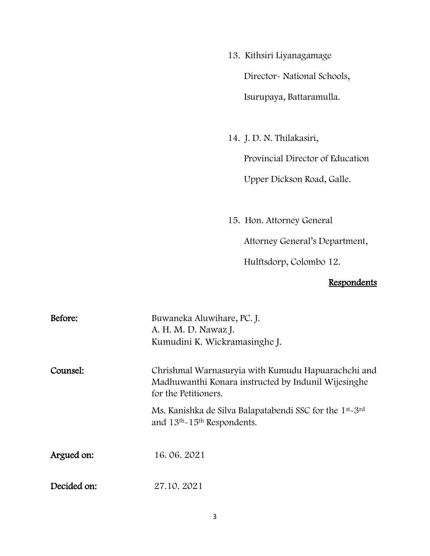- 13. Kithsiri Liyanagamage Director- National Schools, Isurupaya, Battaramulla.
- 14. J. D. N. Thilakasiri,

Provincial Director of Education

Upper Dickson Road, Galle.

15. Hon. Attorney General

Attorney General's Department,

Hulftsdorp, Colombo 12.

## **Respondents**

| Before:     | Buwaneka Aluwihare, PC. J.<br>A. H. M. D. Nawaz J.<br>Kumudini K. Wickramasinghe J.                                                     |
|-------------|-----------------------------------------------------------------------------------------------------------------------------------------|
| Counsel:    | Chrishmal Warnasuryia with Kumudu Hapuarachchi and<br>Madhuwanthi Konara instructed by Indunil Wijesinghe<br>for the Petitioners.       |
|             | Ms. Kanishka de Silva Balapatabendi SSC for the 1 <sup>st</sup> -3 <sup>rd</sup><br>and 13 <sup>th</sup> -15 <sup>th</sup> Respondents. |
| Argued on:  | 16.06.2021                                                                                                                              |
| Decided on: | 27.10.2021                                                                                                                              |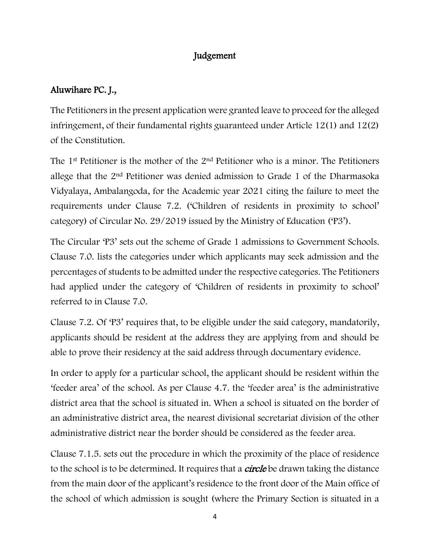#### Judgement

## Aluwihare PC. J.,

The Petitioners in the present application were granted leave to proceed for the alleged infringement, of their fundamental rights guaranteed under Article 12(1) and 12(2) of the Constitution.

The 1<sup>st</sup> Petitioner is the mother of the 2<sup>nd</sup> Petitioner who is a minor. The Petitioners allege that the 2nd Petitioner was denied admission to Grade 1 of the Dharmasoka Vidyalaya, Ambalangoda, for the Academic year 2021 citing the failure to meet the requirements under Clause 7.2. ('Children of residents in proximity to school' category) of Circular No. 29/2019 issued by the Ministry of Education ('P3').

The Circular 'P3' sets out the scheme of Grade 1 admissions to Government Schools. Clause 7.0. lists the categories under which applicants may seek admission and the percentages of students to be admitted under the respective categories. The Petitioners had applied under the category of 'Children of residents in proximity to school' referred to in Clause 7.0.

Clause 7.2. Of 'P3' requires that, to be eligible under the said category, mandatorily, applicants should be resident at the address they are applying from and should be able to prove their residency at the said address through documentary evidence.

In order to apply for a particular school, the applicant should be resident within the 'feeder area' of the school. As per Clause 4.7. the 'feeder area' is the administrative district area that the school is situated in. When a school is situated on the border of an administrative district area, the nearest divisional secretariat division of the other administrative district near the border should be considered as the feeder area.

Clause 7.1.5. sets out the procedure in which the proximity of the place of residence to the school is to be determined. It requires that a *circle* be drawn taking the distance from the main door of the applicant's residence to the front door of the Main office of the school of which admission is sought (where the Primary Section is situated in a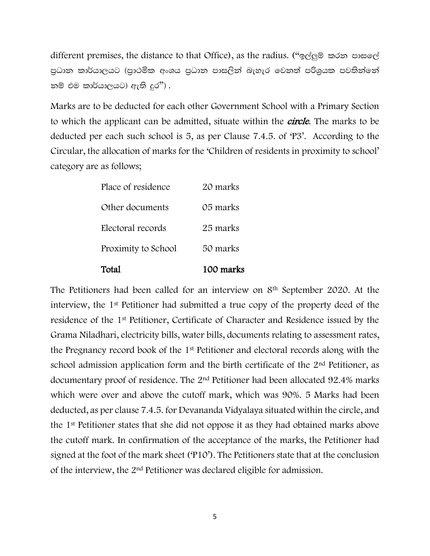different premises, the distance to that Office), as the radius. ("b,a¨ï lrk mdif,a පුධාන කාර්යාලයට (පුාථමික අංශය පුධාන පාසලින් බැහැර වෙනත් පරිශුයක පවතින්නේ තම් එම කාර්යාලයට) ඇති දුර $"$ ).

Marks are to be deducted for each other Government School with a Primary Section to which the applicant can be admitted, situate within the *circle*. The marks to be deducted per each such school is 5, as per Clause 7.4.5. of 'P3'. According to the Circular, the allocation of marks for the 'Children of residents in proximity to school' category are as follows;

| Total               | 100 marks |
|---------------------|-----------|
| Proximity to School | 50 marks  |
| Electoral records   | 25 marks  |
| Other documents     | 05 marks  |
| Place of residence  | 20 marks  |

The Petitioners had been called for an interview on 8<sup>th</sup> September 2020. At the interview, the 1st Petitioner had submitted a true copy of the property deed of the residence of the 1st Petitioner, Certificate of Character and Residence issued by the Grama Niladhari, electricity bills, water bills, documents relating to assessment rates, the Pregnancy record book of the 1st Petitioner and electoral records along with the school admission application form and the birth certificate of the 2<sup>nd</sup> Petitioner, as documentary proof of residence. The 2nd Petitioner had been allocated 92.4% marks which were over and above the cutoff mark, which was 90%. 5 Marks had been deducted, as per clause 7.4.5. for Devananda Vidyalaya situated within the circle, and the 1st Petitioner states that she did not oppose it as they had obtained marks above the cutoff mark. In confirmation of the acceptance of the marks, the Petitioner had signed at the foot of the mark sheet ('P10'). The Petitioners state that at the conclusion of the interview, the 2nd Petitioner was declared eligible for admission.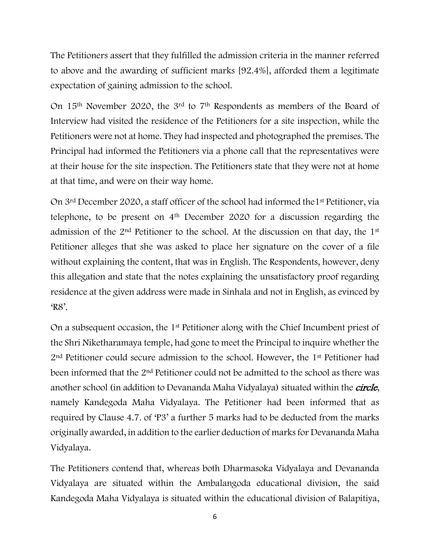The Petitioners assert that they fulfilled the admission criteria in the manner referred to above and the awarding of sufficient marks [92.4%], afforded them a legitimate expectation of gaining admission to the school.

On 15th November 2020, the 3rd to 7th Respondents as members of the Board of Interview had visited the residence of the Petitioners for a site inspection, while the Petitioners were not at home. They had inspected and photographed the premises. The Principal had informed the Petitioners via a phone call that the representatives were at their house for the site inspection. The Petitioners state that they were not at home at that time, and were on their way home.

On 3rd December 2020, a staff officer of the school had informed the1st Petitioner, via telephone, to be present on 4th December 2020 for a discussion regarding the admission of the 2nd Petitioner to the school. At the discussion on that day, the 1st Petitioner alleges that she was asked to place her signature on the cover of a file without explaining the content, that was in English. The Respondents, however, deny this allegation and state that the notes explaining the unsatisfactory proof regarding residence at the given address were made in Sinhala and not in English, as evinced by 'R8'.

On a subsequent occasion, the 1st Petitioner along with the Chief Incumbent priest of the Shri Niketharamaya temple, had gone to meet the Principal to inquire whether the 2<sup>nd</sup> Petitioner could secure admission to the school. However, the 1<sup>st</sup> Petitioner had been informed that the 2nd Petitioner could not be admitted to the school as there was another school (in addition to Devananda Maha Vidyalaya) situated within the *circle*, namely Kandegoda Maha Vidyalaya. The Petitioner had been informed that as required by Clause 4.7. of 'P3' a further 5 marks had to be deducted from the marks originally awarded, in addition to the earlier deduction of marks for Devananda Maha Vidyalaya.

The Petitioners contend that, whereas both Dharmasoka Vidyalaya and Devananda Vidyalaya are situated within the Ambalangoda educational division, the said Kandegoda Maha Vidyalaya is situated within the educational division of Balapitiya,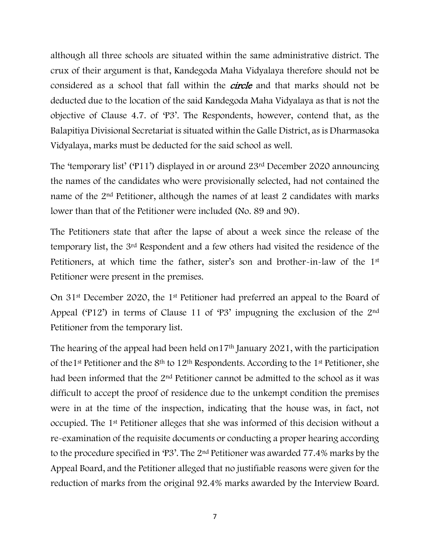although all three schools are situated within the same administrative district. The crux of their argument is that, Kandegoda Maha Vidyalaya therefore should not be considered as a school that fall within the *circle* and that marks should not be deducted due to the location of the said Kandegoda Maha Vidyalaya as that is not the objective of Clause 4.7. of 'P3'. The Respondents, however, contend that, as the Balapitiya Divisional Secretariat is situated within the Galle District, as is Dharmasoka Vidyalaya, marks must be deducted for the said school as well.

The 'temporary list' ('P11') displayed in or around 23rd December 2020 announcing the names of the candidates who were provisionally selected, had not contained the name of the 2<sup>nd</sup> Petitioner, although the names of at least 2 candidates with marks lower than that of the Petitioner were included (No. 89 and 90).

The Petitioners state that after the lapse of about a week since the release of the temporary list, the 3rd Respondent and a few others had visited the residence of the Petitioners, at which time the father, sister's son and brother-in-law of the 1<sup>st</sup> Petitioner were present in the premises.

On 31st December 2020, the 1st Petitioner had preferred an appeal to the Board of Appeal ('P12') in terms of Clause 11 of 'P3' impugning the exclusion of the 2nd Petitioner from the temporary list.

The hearing of the appeal had been held on 17<sup>th</sup> January 2021, with the participation of the 1<sup>st</sup> Petitioner and the  $8<sup>th</sup>$  to 12<sup>th</sup> Respondents. According to the 1<sup>st</sup> Petitioner, she had been informed that the 2nd Petitioner cannot be admitted to the school as it was difficult to accept the proof of residence due to the unkempt condition the premises were in at the time of the inspection, indicating that the house was, in fact, not occupied. The 1st Petitioner alleges that she was informed of this decision without a re-examination of the requisite documents or conducting a proper hearing according to the procedure specified in 'P3'. The 2nd Petitioner was awarded 77.4% marks by the Appeal Board, and the Petitioner alleged that no justifiable reasons were given for the reduction of marks from the original 92.4% marks awarded by the Interview Board.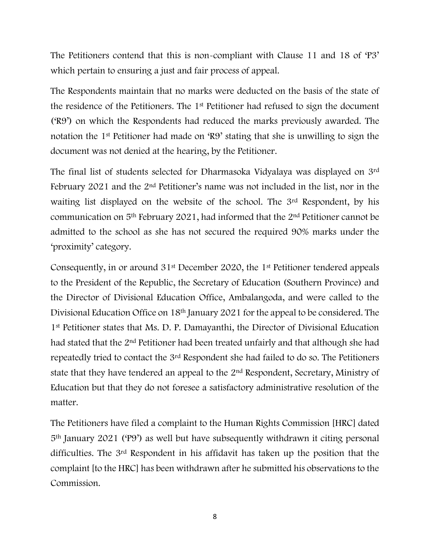The Petitioners contend that this is non-compliant with Clause 11 and 18 of 'P3' which pertain to ensuring a just and fair process of appeal.

The Respondents maintain that no marks were deducted on the basis of the state of the residence of the Petitioners. The 1st Petitioner had refused to sign the document ('R9') on which the Respondents had reduced the marks previously awarded. The notation the 1st Petitioner had made on 'R9' stating that she is unwilling to sign the document was not denied at the hearing, by the Petitioner.

The final list of students selected for Dharmasoka Vidyalaya was displayed on 3rd February 2021 and the 2nd Petitioner's name was not included in the list, nor in the waiting list displayed on the website of the school. The 3rd Respondent, by his communication on 5th February 2021, had informed that the 2nd Petitioner cannot be admitted to the school as she has not secured the required 90% marks under the 'proximity' category.

Consequently, in or around 31st December 2020, the 1st Petitioner tendered appeals to the President of the Republic, the Secretary of Education (Southern Province) and the Director of Divisional Education Office, Ambalangoda, and were called to the Divisional Education Office on 18th January 2021 for the appeal to be considered. The 1st Petitioner states that Ms. D. P. Damayanthi, the Director of Divisional Education had stated that the 2nd Petitioner had been treated unfairly and that although she had repeatedly tried to contact the 3rd Respondent she had failed to do so. The Petitioners state that they have tendered an appeal to the 2nd Respondent, Secretary, Ministry of Education but that they do not foresee a satisfactory administrative resolution of the matter.

The Petitioners have filed a complaint to the Human Rights Commission [HRC] dated 5th January 2021 ('P9') as well but have subsequently withdrawn it citing personal difficulties. The 3rd Respondent in his affidavit has taken up the position that the complaint [to the HRC] has been withdrawn after he submitted his observations to the Commission.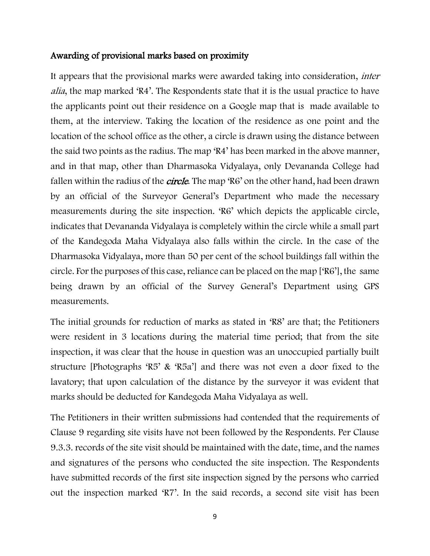#### Awarding of provisional marks based on proximity

It appears that the provisional marks were awarded taking into consideration, inter alia, the map marked 'R4'. The Respondents state that it is the usual practice to have the applicants point out their residence on a Google map that is made available to them, at the interview. Taking the location of the residence as one point and the location of the school office as the other, a circle is drawn using the distance between the said two points as the radius. The map 'R4' has been marked in the above manner, and in that map, other than Dharmasoka Vidyalaya, only Devananda College had fallen within the radius of the *circle*. The map 'R6' on the other hand, had been drawn by an official of the Surveyor General's Department who made the necessary measurements during the site inspection. 'R6' which depicts the applicable circle, indicates that Devananda Vidyalaya is completely within the circle while a small part of the Kandegoda Maha Vidyalaya also falls within the circle. In the case of the Dharmasoka Vidyalaya, more than 50 per cent of the school buildings fall within the circle. For the purposes of this case, reliance can be placed on the map ['R6'], the same being drawn by an official of the Survey General's Department using GPS measurements.

The initial grounds for reduction of marks as stated in 'R8' are that; the Petitioners were resident in 3 locations during the material time period; that from the site inspection, it was clear that the house in question was an unoccupied partially built structure [Photographs 'R5' & 'R5a'] and there was not even a door fixed to the lavatory; that upon calculation of the distance by the surveyor it was evident that marks should be deducted for Kandegoda Maha Vidyalaya as well.

The Petitioners in their written submissions had contended that the requirements of Clause 9 regarding site visits have not been followed by the Respondents. Per Clause 9.3.3. records of the site visit should be maintained with the date, time, and the names and signatures of the persons who conducted the site inspection. The Respondents have submitted records of the first site inspection signed by the persons who carried out the inspection marked 'R7'. In the said records, a second site visit has been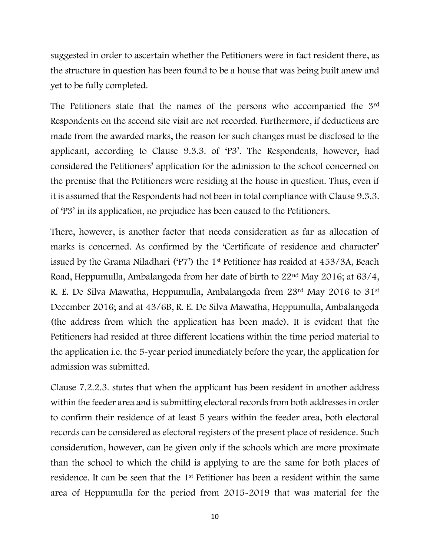suggested in order to ascertain whether the Petitioners were in fact resident there, as the structure in question has been found to be a house that was being built anew and yet to be fully completed.

The Petitioners state that the names of the persons who accompanied the 3rd Respondents on the second site visit are not recorded. Furthermore, if deductions are made from the awarded marks, the reason for such changes must be disclosed to the applicant, according to Clause 9.3.3. of 'P3'. The Respondents, however, had considered the Petitioners' application for the admission to the school concerned on the premise that the Petitioners were residing at the house in question. Thus, even if it is assumed that the Respondents had not been in total compliance with Clause 9.3.3. of 'P3' in its application, no prejudice has been caused to the Petitioners.

There, however, is another factor that needs consideration as far as allocation of marks is concerned. As confirmed by the 'Certificate of residence and character' issued by the Grama Niladhari ('P7') the 1st Petitioner has resided at 453/3A, Beach Road, Heppumulla, Ambalangoda from her date of birth to 22nd May 2016; at 63/4, R. E. De Silva Mawatha, Heppumulla, Ambalangoda from 23rd May 2016 to 31st December 2016; and at 43/6B, R. E. De Silva Mawatha, Heppumulla, Ambalangoda (the address from which the application has been made). It is evident that the Petitioners had resided at three different locations within the time period material to the application i.e. the 5-year period immediately before the year, the application for admission was submitted.

Clause 7.2.2.3. states that when the applicant has been resident in another address within the feeder area and is submitting electoral records from both addresses in order to confirm their residence of at least 5 years within the feeder area, both electoral records can be considered as electoral registers of the present place of residence. Such consideration, however, can be given only if the schools which are more proximate than the school to which the child is applying to are the same for both places of residence. It can be seen that the 1st Petitioner has been a resident within the same area of Heppumulla for the period from 2015-2019 that was material for the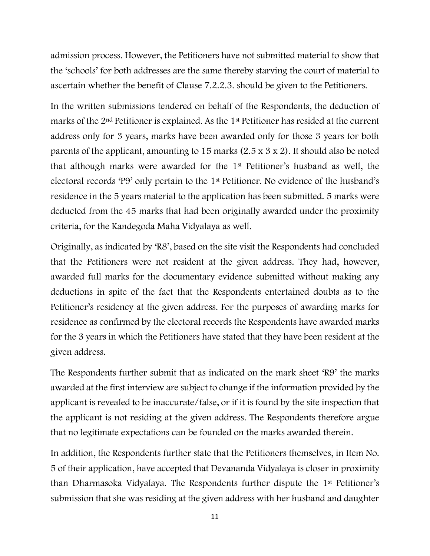admission process. However, the Petitioners have not submitted material to show that the 'schools' for both addresses are the same thereby starving the court of material to ascertain whether the benefit of Clause 7.2.2.3. should be given to the Petitioners.

In the written submissions tendered on behalf of the Respondents, the deduction of marks of the 2nd Petitioner is explained. As the 1st Petitioner has resided at the current address only for 3 years, marks have been awarded only for those 3 years for both parents of the applicant, amounting to 15 marks (2.5 x 3 x 2). It should also be noted that although marks were awarded for the 1st Petitioner's husband as well, the electoral records 'P9' only pertain to the 1st Petitioner. No evidence of the husband's residence in the 5 years material to the application has been submitted. 5 marks were deducted from the 45 marks that had been originally awarded under the proximity criteria, for the Kandegoda Maha Vidyalaya as well.

Originally, as indicated by 'R8', based on the site visit the Respondents had concluded that the Petitioners were not resident at the given address. They had, however, awarded full marks for the documentary evidence submitted without making any deductions in spite of the fact that the Respondents entertained doubts as to the Petitioner's residency at the given address. For the purposes of awarding marks for residence as confirmed by the electoral records the Respondents have awarded marks for the 3 years in which the Petitioners have stated that they have been resident at the given address.

The Respondents further submit that as indicated on the mark sheet 'R9' the marks awarded at the first interview are subject to change if the information provided by the applicant is revealed to be inaccurate/false, or if it is found by the site inspection that the applicant is not residing at the given address. The Respondents therefore argue that no legitimate expectations can be founded on the marks awarded therein.

In addition, the Respondents further state that the Petitioners themselves, in Item No. 5 of their application, have accepted that Devananda Vidyalaya is closer in proximity than Dharmasoka Vidyalaya. The Respondents further dispute the 1st Petitioner's submission that she was residing at the given address with her husband and daughter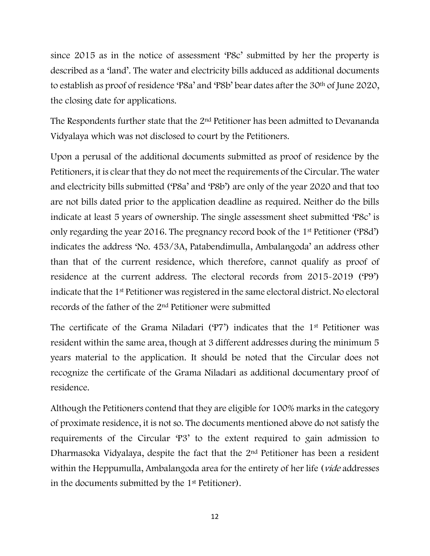since 2015 as in the notice of assessment 'P8c' submitted by her the property is described as a 'land'. The water and electricity bills adduced as additional documents to establish as proof of residence 'P8a' and 'P8b' bear dates after the 30th of June 2020, the closing date for applications.

The Respondents further state that the 2nd Petitioner has been admitted to Devananda Vidyalaya which was not disclosed to court by the Petitioners.

Upon a perusal of the additional documents submitted as proof of residence by the Petitioners, it is clear that they do not meet the requirements of the Circular. The water and electricity bills submitted ('P8a' and 'P8b') are only of the year 2020 and that too are not bills dated prior to the application deadline as required. Neither do the bills indicate at least 5 years of ownership. The single assessment sheet submitted 'P8c' is only regarding the year 2016. The pregnancy record book of the 1st Petitioner ('P8d') indicates the address 'No. 453/3A, Patabendimulla, Ambalangoda' an address other than that of the current residence, which therefore, cannot qualify as proof of residence at the current address. The electoral records from 2015-2019 ('P9') indicate that the 1st Petitioner was registered in the same electoral district. No electoral records of the father of the 2nd Petitioner were submitted

The certificate of the Grama Niladari ('P7') indicates that the 1st Petitioner was resident within the same area, though at 3 different addresses during the minimum 5 years material to the application. It should be noted that the Circular does not recognize the certificate of the Grama Niladari as additional documentary proof of residence.

Although the Petitioners contend that they are eligible for 100% marks in the category of proximate residence, it is not so. The documents mentioned above do not satisfy the requirements of the Circular 'P3' to the extent required to gain admission to Dharmasoka Vidyalaya, despite the fact that the 2<sup>nd</sup> Petitioner has been a resident within the Heppumulla, Ambalangoda area for the entirety of her life (*vide* addresses in the documents submitted by the 1st Petitioner).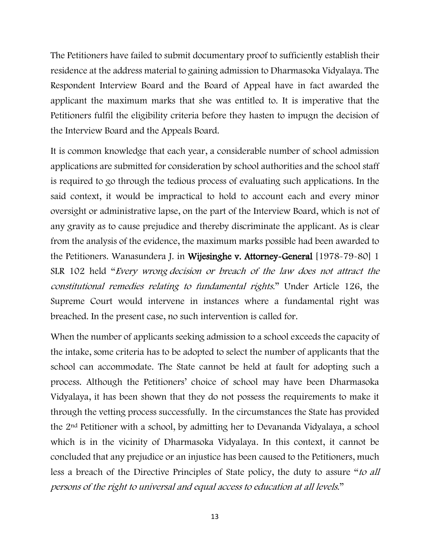The Petitioners have failed to submit documentary proof to sufficiently establish their residence at the address material to gaining admission to Dharmasoka Vidyalaya. The Respondent Interview Board and the Board of Appeal have in fact awarded the applicant the maximum marks that she was entitled to. It is imperative that the Petitioners fulfil the eligibility criteria before they hasten to impugn the decision of the Interview Board and the Appeals Board.

It is common knowledge that each year, a considerable number of school admission applications are submitted for consideration by school authorities and the school staff is required to go through the tedious process of evaluating such applications. In the said context, it would be impractical to hold to account each and every minor oversight or administrative lapse, on the part of the Interview Board, which is not of any gravity as to cause prejudice and thereby discriminate the applicant. As is clear from the analysis of the evidence, the maximum marks possible had been awarded to the Petitioners. Wanasundera J. in Wijesinghe v. Attorney-General [1978-79-80] 1 SLR 102 held "Every wrong decision or breach of the law does not attract the constitutional remedies relating to fundamental rights." Under Article 126, the Supreme Court would intervene in instances where a fundamental right was breached. In the present case, no such intervention is called for.

When the number of applicants seeking admission to a school exceeds the capacity of the intake, some criteria has to be adopted to select the number of applicants that the school can accommodate. The State cannot be held at fault for adopting such a process. Although the Petitioners' choice of school may have been Dharmasoka Vidyalaya, it has been shown that they do not possess the requirements to make it through the vetting process successfully. In the circumstances the State has provided the 2nd Petitioner with a school, by admitting her to Devananda Vidyalaya, a school which is in the vicinity of Dharmasoka Vidyalaya. In this context, it cannot be concluded that any prejudice or an injustice has been caused to the Petitioners, much less a breach of the Directive Principles of State policy, the duty to assure "to all persons of the right to universal and equal access to education at all levels."